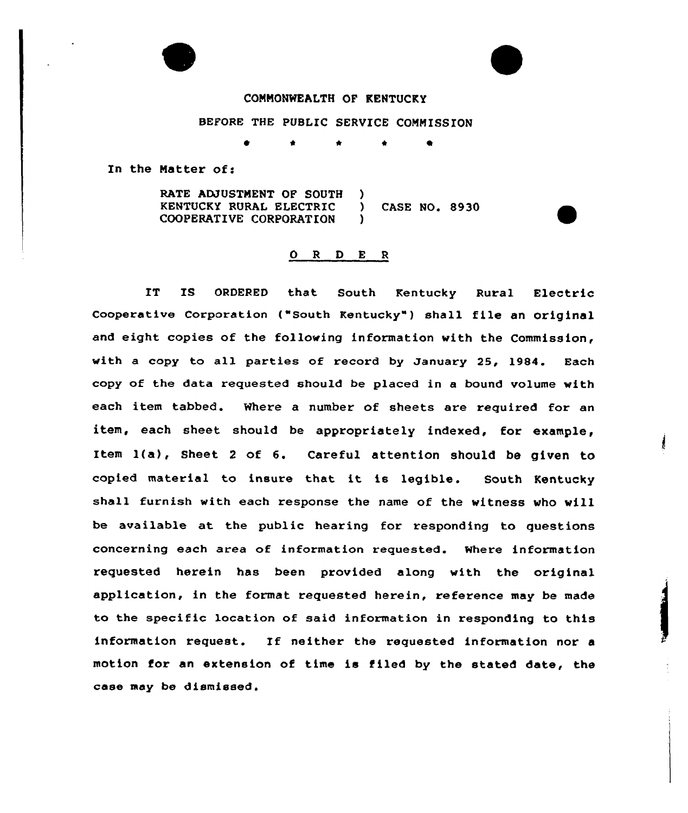## COMMONWEALTH OF KENTUCKY

BEFORE THE PUBLIC SERVICE COMMISSION

\* \* <sup>4</sup>

In the Natter of:

RATE ADJUSTMENT OF SOUTH )<br>KENTUCKY RURAL ELECTRIC ) KENTUCKY RURAL ELECTRIC ) CASE NO. 8930<br>COOPERATIVE CORPORATION ) COOPERATIVE CORPORATION )

## 0 <sup>R</sup> <sup>D</sup> E <sup>R</sup>

IT IS ORDERED that South Kentucky Rural Electric Cooperative Corporation ("South Kentucky" ) shall file en original and eight copies of the following information with the Commission, with a copy to all parties of record by January 25, 1984. Bach copy of the data requested should be placed in a bound volume with each item tabbed. Where a number of sheets are required for an item, each sheet should be appropriately indexed, for example, Item 1(a), Sheet <sup>2</sup> of 6. Careful attention should be given to copied materiel to insure that it is legible. South Kentucky shall furnish with each response the name of the witness who will be available at the public hearing for responding to questions concerning each area of information requested. Where information requested herein has been provided along with the original application, in the format requested herein, reference may be made to the specific location of said information in responding to this information request. If neither the requested information nor <sup>a</sup> motion for an extension of time is filed by the stated date, the case may be dismissed.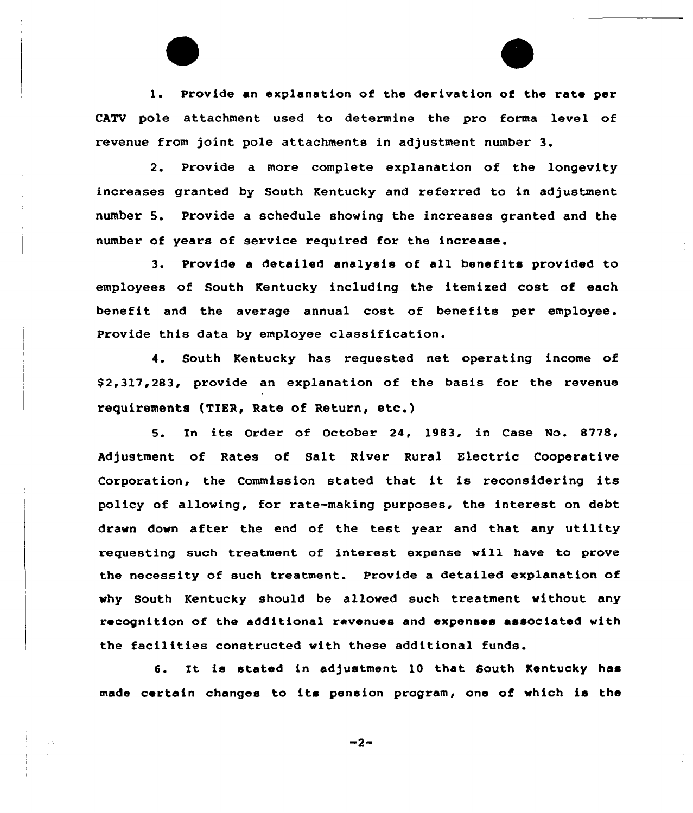1. Provide an explanation of the derivation of the rate per CATV pole attachment used to determine the pro forma level of revenue from joint pole attachments in adjustment number 3.

2. Provide a more complete explanation of the longevity increases granted by South Kentucky and referred to in adjustment number 5. Provide a schedule showing the increases granted and the number of years of service required for the increase.

3. Provide <sup>a</sup> detailed analysis of all benefits provided to employees of South Kentucky including the itemized cost of each benefit and the average annual cost of benefits per employee. Provide this data by employee classification.

4. South Kentucky has requested net operating income of \$ 2,317,283, provide an explanation of the basis for the revenue requirements (TIER, Rate of Return, etc.)

5. In its Order of October 24, 1983, in Case No. 8778/ Adjustment of Rates of Salt River Rural Electric Cooperative Corporation, the Commission stated that it is reconsidering its policy of allowing, for rate-making purposes, the interest on debt drawn down after the end of the test year and that any utility requesting such treatment of interest expense will have to prove the necessity of such treatment. Provide a detailed explanation of why South Kentucky should be allowed such treatment without any recognition of the additional revenues and expenses associated with the facilities constructed with these additional funds.

6. It is stated in adjustment 10 that South Kentucky has made certain changes to its pension program, one of which is the

 $-2-$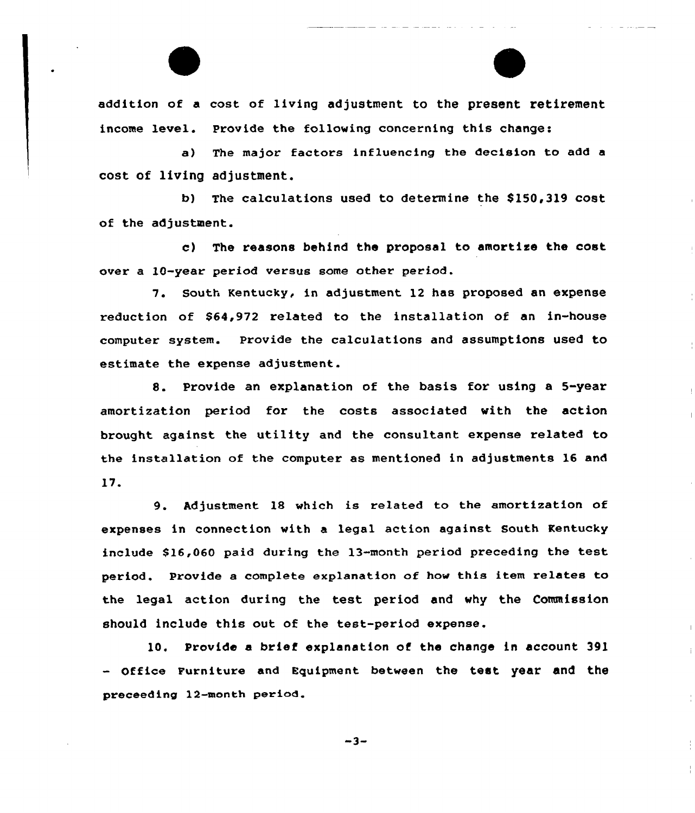addition of a cost of living adjustment to the present retirement income level. Provide the following concerning this change:

a) The major factors influencing the decision to add a cost of living adjustment.

b) The calculations used to determine the S150,319 cost of the adjustment.

c) The reasons behind the proposal to amortize the cost over a 10-year period versus some other period.

7. South Kentucky, in adjustment 12 has proposed an expense reduction of \$64,972 related to the installation of an in-house computer system. Provide the calculations and assumptions used to estimate the expense adjustment.

8. Provide an explanation of the basis for using <sup>a</sup> 5-year amortization period for the costs associated with the action brought against the utility and the consultant expense related to the installation of the computer as mentioned in adjustments 16 and 17.

9. Adjustment 18 which is related to the amortization of expenses in connection with a legal action against South Kentucky include S16,060 paid during the 13-month period preceding the test period. Provide a complete explanation of how this item relates to the legal action during the test period and why the Commission should include this out of the test-period expense.

10. Provide a brief explanation of the change in account 391 - Office Furniture and Equipment between the test year and the preceeding 12-month period.

 $-3-$ 

 $\frac{1}{4}$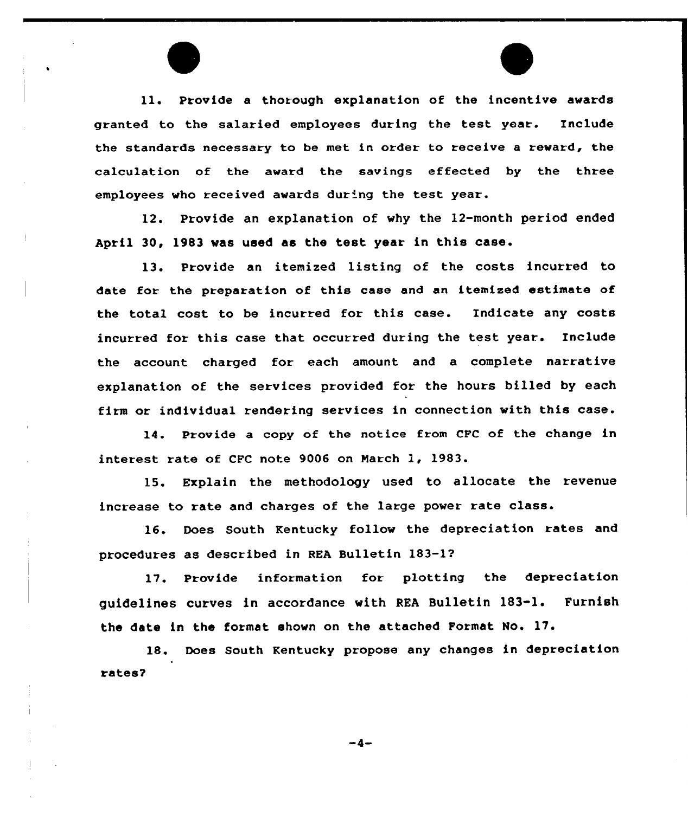11. Provide <sup>a</sup> thorough explanation of the incentive awards granted to the salaried employees during the test year. Include the standards necessary to be met in order to receive a reward, the calculation of the award the savings effected by the three employees who received awards dur'ng the test year.

12. Provide an explanation of why the 12-month period ended April 30, 1983 was used as the test year in this case.

13. Provide an itemized listing of the costs incurred to date for the preparation of this case and an itemized estimate of the total cost to be incurred for this case. Indicate any costs incurred for this case that occurred during the test year. Include the account charged for each amount and a complete narrative explanation of the services provided for the hours billed by each firm or individual rendering services in connection with this case.

14. Provide a copy of the notice from CFC of the change in interest rate of CFC note 9006 on March 1, 1983.

15. Explain the methodology used to allocate the revenue increase to rate and charges of the large power rate class.

16. Does South Kentucky follow the depreciation rates and procedures as described in REA Bulletin 183-1?

17. Provide information for plotting the depreciation guidelines curves in accordance with REA Bulletin 183-1. Furnish the date in the format shown on the attached Format No. 17.

18. Does South Kentucky propose any changes in depreciation rates?

 $-4-$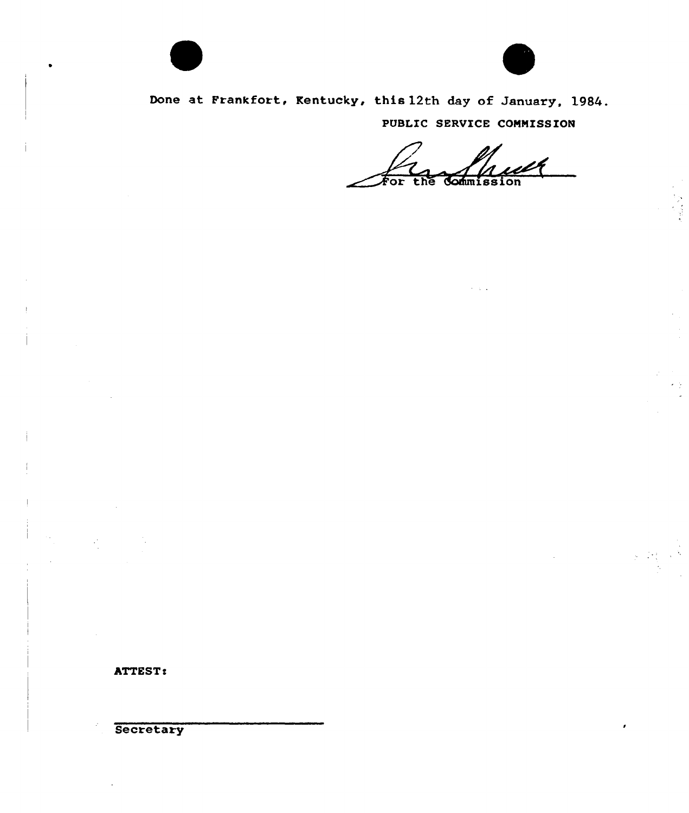



 $\frac{1}{2}$  ,  $\frac{1}{2}$  ,  $\frac{1}{2}$ 

Done at Frankfort, Kentucky, this 12th day of January, 1984. PUBLIC SERVICE COMMISSION

For Commission the

 $\lambda = \sqrt{2}$ 

ATTEST:

Secretary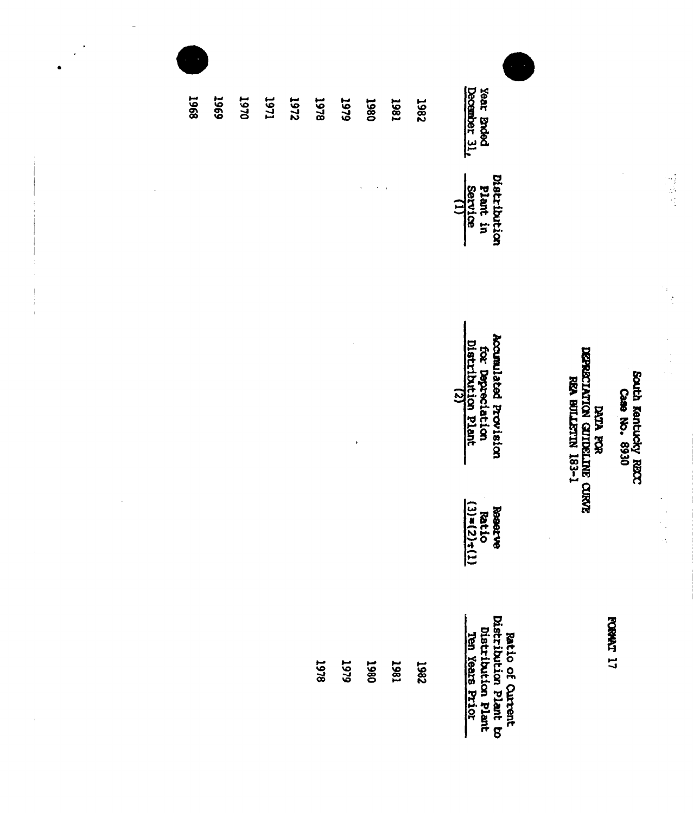| <b>1968</b> | <b>6967</b> | 1970 | <b>IL6I</b> | <b>1972</b> | 1978 | <b>646T</b>          | 1980 | 1861 | <b>7861</b> | December 31.<br>Year Brded                                                         |                                                                       |                                      |
|-------------|-------------|------|-------------|-------------|------|----------------------|------|------|-------------|------------------------------------------------------------------------------------|-----------------------------------------------------------------------|--------------------------------------|
|             |             |      |             |             |      |                      |      |      |             | Distribution<br>Plant in<br>Service<br>$\Xi$                                       |                                                                       |                                      |
|             |             |      |             |             |      | $\pmb{\mathfrak{h}}$ |      |      |             | Accumulated Provision<br>Distribution Plant<br>for Deprectation                    | DEPRECIATION CUTELLINE CURVE<br>REA BULLETIN 183-1<br><b>DATA ROR</b> | South Kentucky RECC<br>Case No. 6930 |
|             |             |      |             |             |      |                      |      |      |             | Reserve<br>Ratio<br>(3)=(2)+(1)<br>$\cdot$                                         |                                                                       |                                      |
|             |             |      |             |             | 1978 | 1979                 | 1980 | 1961 | 7861        | Ratio of Curtent<br>Distribution Plant to<br>Distribution Plant<br>Ten Years Prior |                                                                       | FORMAT 17                            |

 $\begin{array}{c} \rule{6pt}{2.5ex} \rule{0pt}{2.5ex} \rule{0pt}{2.5ex} \rule{0pt}{2.5ex} \rule{0pt}{2.5ex} \rule{0pt}{2.5ex} \rule{0pt}{2.5ex} \rule{0pt}{2.5ex} \rule{0pt}{2.5ex} \rule{0pt}{2.5ex} \rule{0pt}{2.5ex} \rule{0pt}{2.5ex} \rule{0pt}{2.5ex} \rule{0pt}{2.5ex} \rule{0pt}{2.5ex} \rule{0pt}{2.5ex} \rule{0pt}{2.5ex} \rule{0pt}{2.5ex} \rule{0pt}{2.5ex} \rule{0$ 

 $\bar{1}$ 

 $\gamma_4$ 

 $\frac{1}{2}$ 

 $\frac{1}{\sqrt{2}}\sum_{i=1}^{n-1}\frac{1}{\sqrt{2}}\left(\frac{1}{\sqrt{2}}\right)^2\left(\frac{1}{\sqrt{2}}\right)^2.$